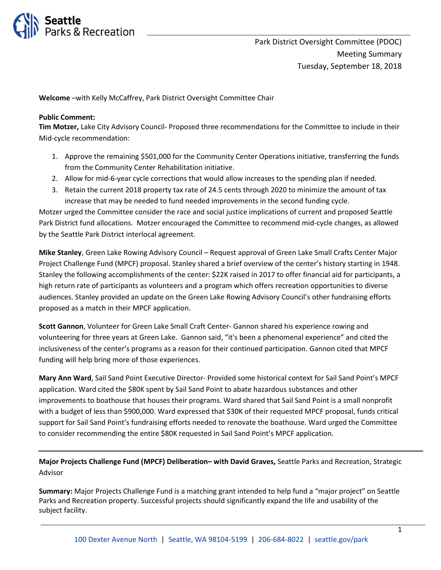

**Welcome** –with Kelly McCaffrey, Park District Oversight Committee Chair

# **Public Comment:**

**Tim Motzer,** Lake City Advisory Council- Proposed three recommendations for the Committee to include in their Mid-cycle recommendation:

- 1. Approve the remaining \$501,000 for the Community Center Operations initiative, transferring the funds from the Community Center Rehabilitation initiative.
- 2. Allow for mid-6-year cycle corrections that would allow increases to the spending plan if needed.
- 3. Retain the current 2018 property tax rate of 24.5 cents through 2020 to minimize the amount of tax increase that may be needed to fund needed improvements in the second funding cycle.

Motzer urged the Committee consider the race and social justice implications of current and proposed Seattle Park District fund allocations. Motzer encouraged the Committee to recommend mid-cycle changes, as allowed by the Seattle Park District interlocal agreement.

**Mike Stanley**, Green Lake Rowing Advisory Council – Request approval of Green Lake Small Crafts Center Major Project Challenge Fund (MPCF) proposal. Stanley shared a brief overview of the center's history starting in 1948. Stanley the following accomplishments of the center: \$22K raised in 2017 to offer financial aid for participants, a high return rate of participants as volunteers and a program which offers recreation opportunities to diverse audiences. Stanley provided an update on the Green Lake Rowing Advisory Council's other fundraising efforts proposed as a match in their MPCF application.

**Scott Gannon**, Volunteer for Green Lake Small Craft Center- Gannon shared his experience rowing and volunteering for three years at Green Lake. Gannon said, "it's been a phenomenal experience" and cited the inclusiveness of the center's programs as a reason for their continued participation. Gannon cited that MPCF funding will help bring more of those experiences.

**Mary Ann Ward**, Sail Sand Point Executive Director- Provided some historical context for Sail Sand Point's MPCF application. Ward cited the \$80K spent by Sail Sand Point to abate hazardous substances and other improvements to boathouse that houses their programs. Ward shared that Sail Sand Point is a small nonprofit with a budget of less than \$900,000. Ward expressed that \$30K of their requested MPCF proposal, funds critical support for Sail Sand Point's fundraising efforts needed to renovate the boathouse. Ward urged the Committee to consider recommending the entire \$80K requested in Sail Sand Point's MPCF application.

**Major Projects Challenge Fund (MPCF) Deliberation– with David Graves,** Seattle Parks and Recreation, Strategic Advisor

**Summary:** Major Projects Challenge Fund is a matching grant intended to help fund a "major project" on Seattle Parks and Recreation property. Successful projects should significantly expand the life and usability of the subject facility.